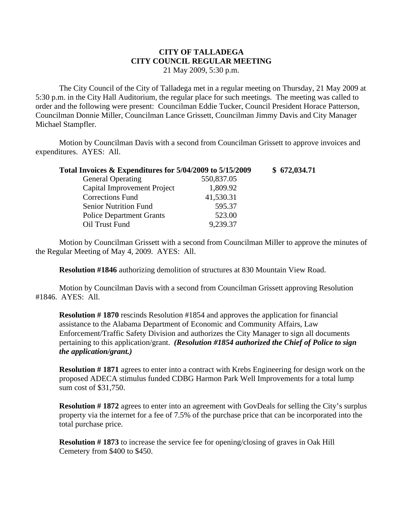## **CITY OF TALLADEGA CITY COUNCIL REGULAR MEETING** 21 May 2009, 5:30 p.m.

The City Council of the City of Talladega met in a regular meeting on Thursday, 21 May 2009 at 5:30 p.m. in the City Hall Auditorium, the regular place for such meetings. The meeting was called to order and the following were present: Councilman Eddie Tucker, Council President Horace Patterson, Councilman Donnie Miller, Councilman Lance Grissett, Councilman Jimmy Davis and City Manager Michael Stampfler.

Motion by Councilman Davis with a second from Councilman Grissett to approve invoices and expenditures. AYES: All.

| Total Invoices & Expenditures for 5/04/2009 to 5/15/2009 |            | \$672,034.71 |
|----------------------------------------------------------|------------|--------------|
| <b>General Operating</b>                                 | 550,837.05 |              |
| Capital Improvement Project                              | 1,809.92   |              |
| <b>Corrections Fund</b>                                  | 41,530.31  |              |
| <b>Senior Nutrition Fund</b>                             | 595.37     |              |
| <b>Police Department Grants</b>                          | 523.00     |              |
| Oil Trust Fund                                           | 9,239.37   |              |

Motion by Councilman Grissett with a second from Councilman Miller to approve the minutes of the Regular Meeting of May 4, 2009. AYES: All.

**Resolution #1846** authorizing demolition of structures at 830 Mountain View Road.

Motion by Councilman Davis with a second from Councilman Grissett approving Resolution #1846. AYES: All.

**Resolution # 1870** rescinds Resolution #1854 and approves the application for financial assistance to the Alabama Department of Economic and Community Affairs, Law Enforcement/Traffic Safety Division and authorizes the City Manager to sign all documents pertaining to this application/grant. *(Resolution #1854 authorized the Chief of Police to sign the application/grant.)*

**Resolution # 1871** agrees to enter into a contract with Krebs Engineering for design work on the proposed ADECA stimulus funded CDBG Harmon Park Well Improvements for a total lump sum cost of \$31,750.

**Resolution #1872** agrees to enter into an agreement with GovDeals for selling the City's surplus property via the internet for a fee of 7.5% of the purchase price that can be incorporated into the total purchase price.

**Resolution # 1873** to increase the service fee for opening/closing of graves in Oak Hill Cemetery from \$400 to \$450.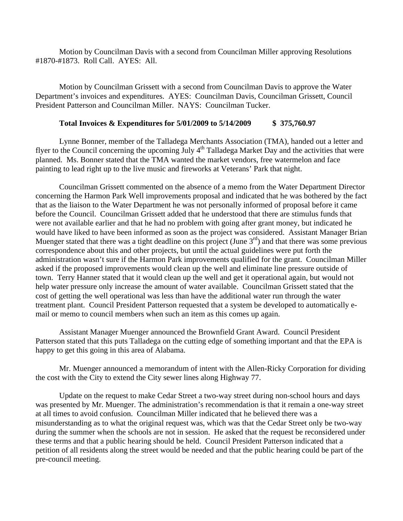Motion by Councilman Davis with a second from Councilman Miller approving Resolutions #1870-#1873. Roll Call. AYES: All.

Motion by Councilman Grissett with a second from Councilman Davis to approve the Water Department's invoices and expenditures. AYES: Councilman Davis, Councilman Grissett, Council President Patterson and Councilman Miller. NAYS: Councilman Tucker.

## **Total Invoices & Expenditures for 5/01/2009 to 5/14/2009 \$ 375,760.97**

Lynne Bonner, member of the Talladega Merchants Association (TMA), handed out a letter and flyer to the Council concerning the upcoming July  $4<sup>th</sup>$  Talladega Market Day and the activities that were planned. Ms. Bonner stated that the TMA wanted the market vendors, free watermelon and face painting to lead right up to the live music and fireworks at Veterans' Park that night.

Councilman Grissett commented on the absence of a memo from the Water Department Director concerning the Harmon Park Well improvements proposal and indicated that he was bothered by the fact that as the liaison to the Water Department he was not personally informed of proposal before it came before the Council. Councilman Grissett added that he understood that there are stimulus funds that were not available earlier and that he had no problem with going after grant money, but indicated he would have liked to have been informed as soon as the project was considered. Assistant Manager Brian Muenger stated that there was a tight deadline on this project (June  $3<sup>rd</sup>$ ) and that there was some previous correspondence about this and other projects, but until the actual guidelines were put forth the administration wasn't sure if the Harmon Park improvements qualified for the grant. Councilman Miller asked if the proposed improvements would clean up the well and eliminate line pressure outside of town. Terry Hanner stated that it would clean up the well and get it operational again, but would not help water pressure only increase the amount of water available. Councilman Grissett stated that the cost of getting the well operational was less than have the additional water run through the water treatment plant. Council President Patterson requested that a system be developed to automatically email or memo to council members when such an item as this comes up again.

Assistant Manager Muenger announced the Brownfield Grant Award. Council President Patterson stated that this puts Talladega on the cutting edge of something important and that the EPA is happy to get this going in this area of Alabama.

Mr. Muenger announced a memorandum of intent with the Allen-Ricky Corporation for dividing the cost with the City to extend the City sewer lines along Highway 77.

Update on the request to make Cedar Street a two-way street during non-school hours and days was presented by Mr. Muenger. The administration's recommendation is that it remain a one-way street at all times to avoid confusion. Councilman Miller indicated that he believed there was a misunderstanding as to what the original request was, which was that the Cedar Street only be two-way during the summer when the schools are not in session. He asked that the request be reconsidered under these terms and that a public hearing should be held. Council President Patterson indicated that a petition of all residents along the street would be needed and that the public hearing could be part of the pre-council meeting.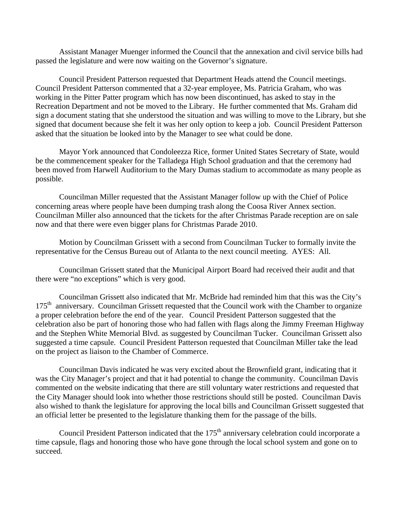Assistant Manager Muenger informed the Council that the annexation and civil service bills had passed the legislature and were now waiting on the Governor's signature.

Council President Patterson requested that Department Heads attend the Council meetings. Council President Patterson commented that a 32-year employee, Ms. Patricia Graham, who was working in the Pitter Patter program which has now been discontinued, has asked to stay in the Recreation Department and not be moved to the Library. He further commented that Ms. Graham did sign a document stating that she understood the situation and was willing to move to the Library, but she signed that document because she felt it was her only option to keep a job. Council President Patterson asked that the situation be looked into by the Manager to see what could be done.

Mayor York announced that Condoleezza Rice, former United States Secretary of State, would be the commencement speaker for the Talladega High School graduation and that the ceremony had been moved from Harwell Auditorium to the Mary Dumas stadium to accommodate as many people as possible.

Councilman Miller requested that the Assistant Manager follow up with the Chief of Police concerning areas where people have been dumping trash along the Coosa River Annex section. Councilman Miller also announced that the tickets for the after Christmas Parade reception are on sale now and that there were even bigger plans for Christmas Parade 2010.

Motion by Councilman Grissett with a second from Councilman Tucker to formally invite the representative for the Census Bureau out of Atlanta to the next council meeting. AYES: All.

Councilman Grissett stated that the Municipal Airport Board had received their audit and that there were "no exceptions" which is very good.

Councilman Grissett also indicated that Mr. McBride had reminded him that this was the City's 175<sup>th</sup> anniversary. Councilman Grissett requested that the Council work with the Chamber to organize a proper celebration before the end of the year. Council President Patterson suggested that the celebration also be part of honoring those who had fallen with flags along the Jimmy Freeman Highway and the Stephen White Memorial Blvd. as suggested by Councilman Tucker. Councilman Grissett also suggested a time capsule. Council President Patterson requested that Councilman Miller take the lead on the project as liaison to the Chamber of Commerce.

Councilman Davis indicated he was very excited about the Brownfield grant, indicating that it was the City Manager's project and that it had potential to change the community. Councilman Davis commented on the website indicating that there are still voluntary water restrictions and requested that the City Manager should look into whether those restrictions should still be posted. Councilman Davis also wished to thank the legislature for approving the local bills and Councilman Grissett suggested that an official letter be presented to the legislature thanking them for the passage of the bills.

Council President Patterson indicated that the 175<sup>th</sup> anniversary celebration could incorporate a time capsule, flags and honoring those who have gone through the local school system and gone on to succeed.